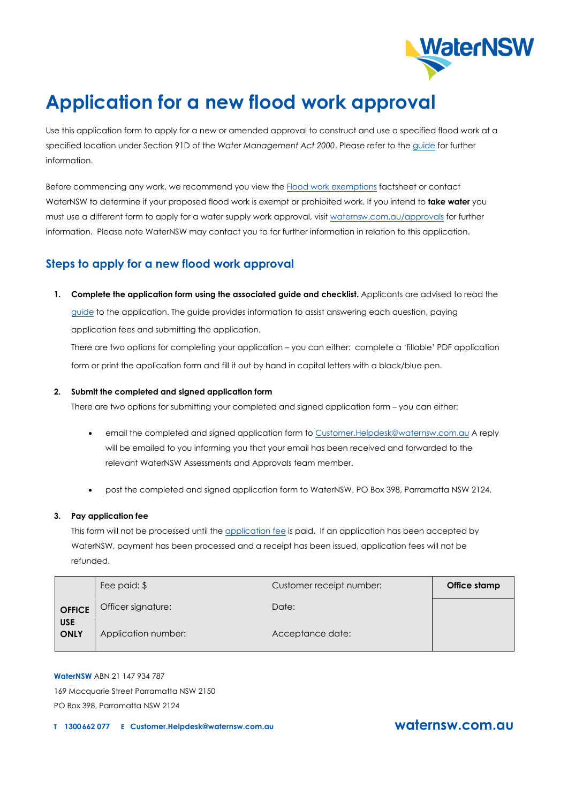

# **Application for a new flood work approval**

Use this application form to apply for a new or amended approval to construct and use a specified flood work at a specified location under Section 91D of the *Water Management Act 2000*. Please refer to the guide for further information.

Before commencing any work, we recommend you view the Flood work exemptions [factsheet or](https://www.waternsw.com.au/__data/assets/pdf_file/0011/128963/5.-Understanding-exemption-approvals.pdf) contact WaterNSW to determine if your proposed flood work is exempt or prohibited work. If you intend to **take water** you must use a different form to apply for a water supply work approval, visit waternsw.com.au/approvals for further information. Please note WaterNSW may contact you to for further information in relation to this application.

# **Steps to apply for a new flood work approval**

**1. Complete the application form using the associated guide and checklist.** Applicants are advised to read the [guide](https://www.waternsw.com.au/__data/assets/pdf_file/0010/130006/7.-WMAF035-flood-work-new-application-guide.pdf) to the application. The guide provides information to assist answering each question, paying application fees and submitting the application.

There are two options for completing your application – you can either: complete a 'fillable' PDF application form or print the application form and fill it out by hand in capital letters with a black/blue pen.

## **2. Submit the completed and signed application form**

There are two options for submitting your completed and signed application form – you can either:

- email the completed and signed application form to [Customer.Helpdesk@waternsw.com.au](mailto:Customer.Helpdesk@waternsw.com.au) A reply will be emailed to you informing you that your email has been received and forwarded to the relevant WaterNSW Assessments and Approvals team member.
- post the completed and signed application form to WaterNSW, PO Box 398, Parramatta NSW 2124.

### **3. Pay application fee**

This form will not be processed until the [application fee](https://www.waternsw.com.au/customer-service/water-licensing/applications-and-fees) is paid. If an application has been accepted by WaterNSW, payment has been processed and a receipt has been issued, application fees will not be refunded.

|                           | Fee paid: \$        | Customer receipt number: | Office stamp |
|---------------------------|---------------------|--------------------------|--------------|
| <b>OFFICE</b>             | Officer signature:  | Date:                    |              |
| <b>USE</b><br><b>ONLY</b> | Application number: | Acceptance date:         |              |

**WaterNSW** ABN 21 147 934 787

169 Macquarie Street Parramatta NSW 2150 PO Box 398, Parramatta NSW 2124

**T 1300662 <sup>077</sup> E [Customer.Helpdesk@waternsw.com.au](mailto:Customer.Helpdesk@waternsw.com.au) [waternsw.com.au](http://www.waternsw.com.au/)**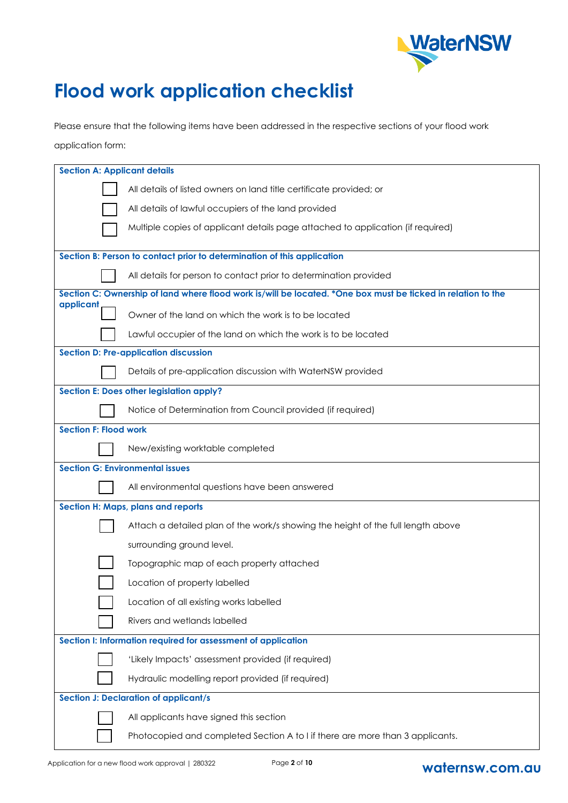

# **Flood work application checklist**

Please ensure that the following items have been addressed in the respective sections of your flood work application form:

| <b>Section A: Applicant details</b>                           |                                                                                                              |  |  |  |  |
|---------------------------------------------------------------|--------------------------------------------------------------------------------------------------------------|--|--|--|--|
|                                                               | All details of listed owners on land title certificate provided; or                                          |  |  |  |  |
|                                                               | All details of lawful occupiers of the land provided                                                         |  |  |  |  |
|                                                               | Multiple copies of applicant details page attached to application (if required)                              |  |  |  |  |
|                                                               |                                                                                                              |  |  |  |  |
|                                                               | Section B: Person to contact prior to determination of this application                                      |  |  |  |  |
|                                                               | All details for person to contact prior to determination provided                                            |  |  |  |  |
|                                                               | Section C: Ownership of land where flood work is/will be located. *One box must be ticked in relation to the |  |  |  |  |
| applicant                                                     | Owner of the land on which the work is to be located                                                         |  |  |  |  |
|                                                               | Lawful occupier of the land on which the work is to be located                                               |  |  |  |  |
|                                                               | <b>Section D: Pre-application discussion</b>                                                                 |  |  |  |  |
|                                                               | Details of pre-application discussion with WaterNSW provided                                                 |  |  |  |  |
|                                                               | Section E: Does other legislation apply?                                                                     |  |  |  |  |
|                                                               | Notice of Determination from Council provided (if required)                                                  |  |  |  |  |
| <b>Section F: Flood work</b>                                  |                                                                                                              |  |  |  |  |
|                                                               | New/existing worktable completed                                                                             |  |  |  |  |
|                                                               | <b>Section G: Environmental issues</b>                                                                       |  |  |  |  |
|                                                               | All environmental questions have been answered                                                               |  |  |  |  |
|                                                               | Section H: Maps, plans and reports                                                                           |  |  |  |  |
|                                                               | Attach a detailed plan of the work/s showing the height of the full length above                             |  |  |  |  |
|                                                               | surrounding ground level.                                                                                    |  |  |  |  |
|                                                               | Topographic map of each property attached                                                                    |  |  |  |  |
|                                                               | Location of property labelled                                                                                |  |  |  |  |
|                                                               | Location of all existing works labelled                                                                      |  |  |  |  |
|                                                               | Rivers and wetlands labelled                                                                                 |  |  |  |  |
| Section I: Information required for assessment of application |                                                                                                              |  |  |  |  |
|                                                               | 'Likely Impacts' assessment provided (if required)                                                           |  |  |  |  |
|                                                               | Hydraulic modelling report provided (if required)                                                            |  |  |  |  |
|                                                               | <b>Section J: Declaration of applicant/s</b>                                                                 |  |  |  |  |
|                                                               | All applicants have signed this section                                                                      |  |  |  |  |
|                                                               | Photocopied and completed Section A to I if there are more than 3 applicants.                                |  |  |  |  |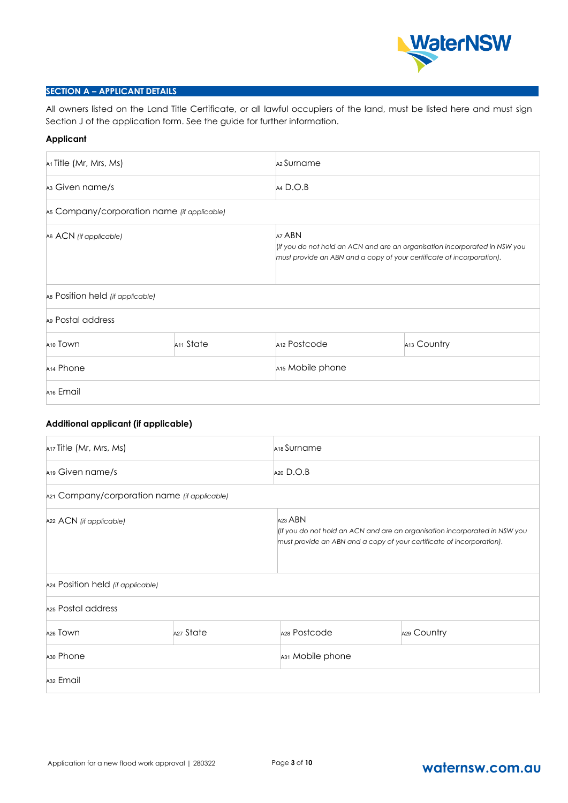

# **SECTION A – APPLICANT DETAILS**

All owners listed on the Land Title Certificate, or all lawful occupiers of the land, must be listed here and must sign Section J of the application form. See the guide for further information.

#### **Applicant**

| A <sub>1</sub> Title (Mr, Mrs, Ms)            |  | A <sub>2</sub> Surname       |                                                                                                                                                     |  |  |
|-----------------------------------------------|--|------------------------------|-----------------------------------------------------------------------------------------------------------------------------------------------------|--|--|
| A <sub>3</sub> Given name/s                   |  | $AA$ D.O.B                   |                                                                                                                                                     |  |  |
| A5 Company/corporation name (if applicable)   |  |                              |                                                                                                                                                     |  |  |
| A6 ACN (if applicable)                        |  | A7 ABN                       | (If you do not hold an ACN and are an organisation incorporated in NSW you<br>must provide an ABN and a copy of your certificate of incorporation). |  |  |
| As Position held (if applicable)              |  |                              |                                                                                                                                                     |  |  |
| A <sub>9</sub> Postal address                 |  |                              |                                                                                                                                                     |  |  |
| A <sub>11</sub> State<br>A <sub>10</sub> Town |  | A <sub>12</sub> Postcode     | A13 Country                                                                                                                                         |  |  |
| A <sub>14</sub> Phone                         |  | A <sub>15</sub> Mobile phone |                                                                                                                                                     |  |  |
| A <sub>16</sub> Email                         |  |                              |                                                                                                                                                     |  |  |

# **Additional applicant (if applicable)**

| A <sub>17</sub> Title (Mr, Mrs, Ms)          |  | A <sub>18</sub> Surname                                                                                                                                        |             |  |
|----------------------------------------------|--|----------------------------------------------------------------------------------------------------------------------------------------------------------------|-------------|--|
| A <sub>19</sub> Given name/s                 |  | $A20$ D.O.B                                                                                                                                                    |             |  |
| A21 Company/corporation name (if applicable) |  |                                                                                                                                                                |             |  |
| A22 ACN (if applicable)                      |  | A23 ABN<br>(If you do not hold an ACN and are an organisation incorporated in NSW you<br>must provide an ABN and a copy of your certificate of incorporation). |             |  |
| A24 Position held (if applicable)            |  |                                                                                                                                                                |             |  |
| A <sub>25</sub> Postal address               |  |                                                                                                                                                                |             |  |
| A27 State<br>A <sub>26</sub> Town            |  | A28 Postcode                                                                                                                                                   | A29 Country |  |
| A <sub>30</sub> Phone                        |  | A31 Mobile phone                                                                                                                                               |             |  |
| A <sub>32</sub> Email                        |  |                                                                                                                                                                |             |  |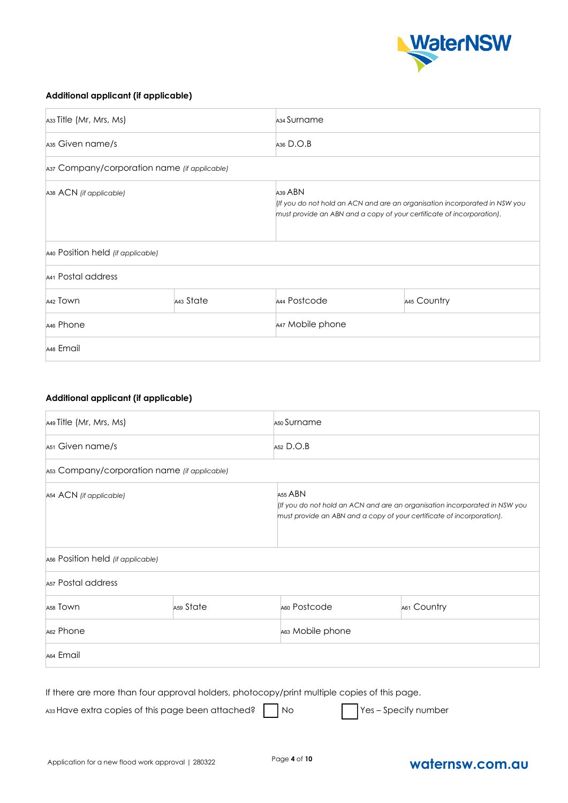

# **Additional applicant (if applicable)**

| A33 Title (Mr, Mrs, Ms)                      |  | A <sub>34</sub> Surname |                                                                                                                                                     |  |  |
|----------------------------------------------|--|-------------------------|-----------------------------------------------------------------------------------------------------------------------------------------------------|--|--|
| A <sub>35</sub> Given name/s                 |  | A <sub>36</sub> $D.O.B$ |                                                                                                                                                     |  |  |
| A37 Company/corporation name (if applicable) |  |                         |                                                                                                                                                     |  |  |
| A38 ACN (if applicable)                      |  | A <sub>39</sub> ABN     | (If you do not hold an ACN and are an organisation incorporated in NSW you<br>must provide an ABN and a copy of your certificate of incorporation). |  |  |
| A40 Position held (if applicable)            |  |                         |                                                                                                                                                     |  |  |
| A41 Postal address                           |  |                         |                                                                                                                                                     |  |  |
| A43 State<br>A42 TOWN                        |  | A44 Postcode            | A45 Country                                                                                                                                         |  |  |
| A <sub>46</sub> Phone                        |  | A47 Mobile phone        |                                                                                                                                                     |  |  |
| A48 Email                                    |  |                         |                                                                                                                                                     |  |  |

# **Additional applicant (if applicable)**

| A49 Title (Mr, Mrs, Ms)                      |         | A <sub>50</sub> Surname                                                                                                                             |  |             |  |
|----------------------------------------------|---------|-----------------------------------------------------------------------------------------------------------------------------------------------------|--|-------------|--|
| A <sub>51</sub> Given name/s                 |         | $A52$ D.O.B                                                                                                                                         |  |             |  |
| A53 Company/corporation name (if applicable) |         |                                                                                                                                                     |  |             |  |
| A54 ACN (if applicable)                      | A55 ABN | (If you do not hold an ACN and are an organisation incorporated in NSW you<br>must provide an ABN and a copy of your certificate of incorporation). |  |             |  |
| A56 Position held (if applicable)            |         |                                                                                                                                                     |  |             |  |
| Asz Postal address                           |         |                                                                                                                                                     |  |             |  |
| A <sub>59</sub> State<br>A58 TOWN            |         | A60 Postcode                                                                                                                                        |  | A61 Country |  |
| A62 Phone                                    |         | A63 Mobile phone                                                                                                                                    |  |             |  |
| A64 Email                                    |         |                                                                                                                                                     |  |             |  |
|                                              |         |                                                                                                                                                     |  |             |  |

If there are more than four approval holders, photocopy/print multiple copies of this page.

A33 Have extra copies of this page been attached? No Passes These – Specify number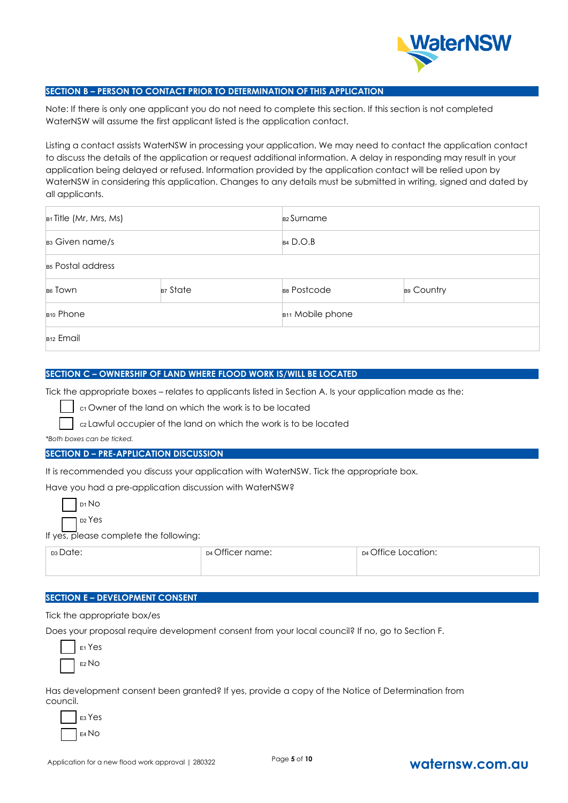

## **SECTION B – PERSON TO CONTACT PRIOR TO DETERMINATION OF THIS APPLICATION**

Note: If there is only one applicant you do not need to complete this section. If this section is not completed WaterNSW will assume the first applicant listed is the application contact.

Listing a contact assists WaterNSW in processing your application. We may need to contact the application contact to discuss the details of the application or request additional information. A delay in responding may result in your application being delayed or refused. Information provided by the application contact will be relied upon by WaterNSW in considering this application. Changes to any details must be submitted in writing, signed and dated by all applicants.

| $B1$ Title (Mr, Mrs, Ms)      |  | B <sub>2</sub> Surname       |            |
|-------------------------------|--|------------------------------|------------|
| B3 Given name/s               |  | $B4$ D.O.B                   |            |
| B <sub>s</sub> Postal address |  |                              |            |
| $B7$ State<br>B6 TOWN         |  | B8 Postcode                  | B9 Country |
| B <sub>10</sub> Phone         |  | B <sub>11</sub> Mobile phone |            |
| B <sub>12</sub> Email         |  |                              |            |

#### **SECTION C – OWNERSHIP OF LAND WHERE FLOOD WORK IS/WILL BE LOCATED**

Tick the appropriate boxes – relates to applicants listed in Section A. Is your application made as the:

c<sub>1</sub> Owner of the land on which the work is to be located

C2 Lawful occupier of the land on which the work is to be located

*\*Both boxes can be ticked.* 

# **SECTION D – PRE-APPLICATION DISCUSSION**

It is recommended you discuss your application with WaterNSW. Tick the appropriate box.

Have you had a pre-application discussion with WaterNSW?

|--|--|--|

D2 Yes

If yes, please complete the following:

| ns Date: | $\sim$ cm $\sim$<br>name:<br>711C<br>∴≏r<br>$\Box$ | Q(f)<br>:ation:<br>D4 |
|----------|----------------------------------------------------|-----------------------|
|          |                                                    |                       |

# **SECTION E – DEVELOPMENT CONSENT**

Tick the appropriate box/es

Does your proposal require development consent from your local council? If no, go to Section F.

| <sub>E1</sub> Yes |
|-------------------|
| $E2$ NO           |

Has development consent been granted? If yes, provide a copy of the Notice of Determination from council.

E3 Yes E4 No

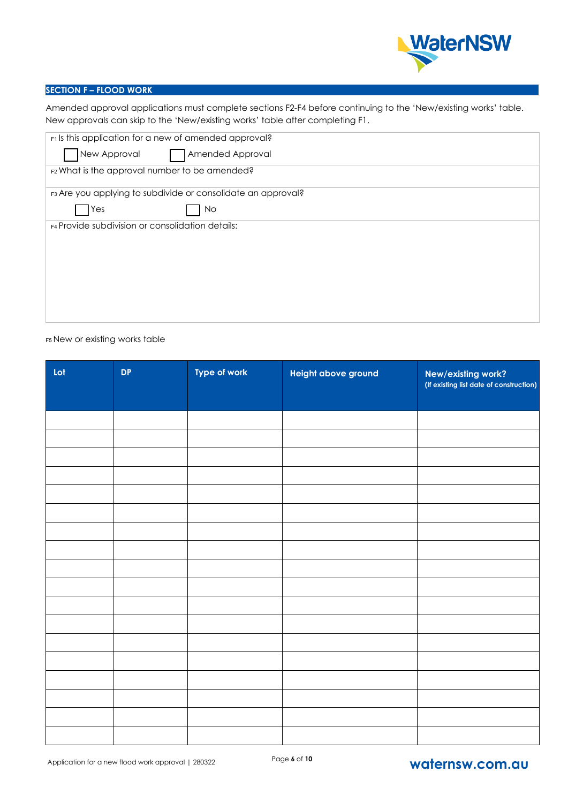

# **SECTION F – FLOOD WORK**

Amended approval applications must complete sections F2-F4 before continuing to the 'New/existing works' table. New approvals can skip to the 'New/existing works' table after completing F1.

| F1 Is this application for a new of amended approval? |                                                              |  |  |  |  |
|-------------------------------------------------------|--------------------------------------------------------------|--|--|--|--|
| New Approval                                          | Amended Approval                                             |  |  |  |  |
| F2 What is the approval number to be amended?         |                                                              |  |  |  |  |
|                                                       | F3 Are you applying to subdivide or consolidate an approval? |  |  |  |  |
| Yes                                                   | No                                                           |  |  |  |  |
| F4 Provide subdivision or consolidation details:      |                                                              |  |  |  |  |
|                                                       |                                                              |  |  |  |  |
|                                                       |                                                              |  |  |  |  |
|                                                       |                                                              |  |  |  |  |
|                                                       |                                                              |  |  |  |  |
|                                                       |                                                              |  |  |  |  |
|                                                       |                                                              |  |  |  |  |

#### F5 New or existing works table

| Lot | <b>DP</b> | Type of work | Height above ground | New/existing work?<br>(If existing list date of construction) |
|-----|-----------|--------------|---------------------|---------------------------------------------------------------|
|     |           |              |                     |                                                               |
|     |           |              |                     |                                                               |
|     |           |              |                     |                                                               |
|     |           |              |                     |                                                               |
|     |           |              |                     |                                                               |
|     |           |              |                     |                                                               |
|     |           |              |                     |                                                               |
|     |           |              |                     |                                                               |
|     |           |              |                     |                                                               |
|     |           |              |                     |                                                               |
|     |           |              |                     |                                                               |
|     |           |              |                     |                                                               |
|     |           |              |                     |                                                               |
|     |           |              |                     |                                                               |
|     |           |              |                     |                                                               |
|     |           |              |                     |                                                               |
|     |           |              |                     |                                                               |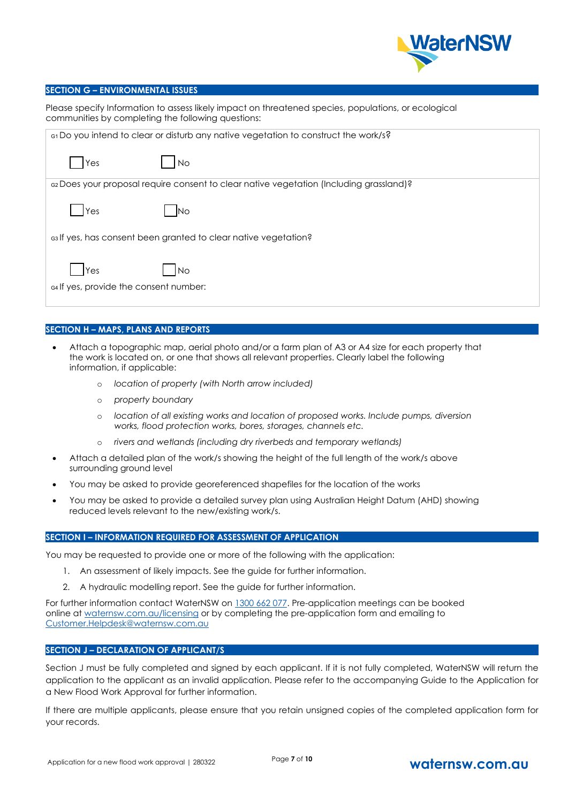

#### **SECTION G – ENVIRONMENTAL ISSUES**

| Please specify Information to assess likely impact on threatened species, populations, or ecological |
|------------------------------------------------------------------------------------------------------|
| communities by completing the following questions:                                                   |

| G1 Do you intend to clear or disturb any native vegetation to construct the work/s?     |
|-----------------------------------------------------------------------------------------|
| Yes<br><b>No</b>                                                                        |
| ez Does your proposal require consent to clear native vegetation (Including grassland)? |
| Yes<br>IN∩                                                                              |
| es If yes, has consent been granted to clear native vegetation?                         |
| <b>IYes</b><br>l No<br>G4 If yes, provide the consent number:                           |

#### **SECTION H – MAPS, PLANS AND REPORTS**

- Attach a topographic map, aerial photo and/or a farm plan of A3 or A4 size for each property that the work is located on, or one that shows all relevant properties. Clearly label the following information, if applicable:
	- o *location of property (with North arrow included)*
	- o *property boundary*
	- o *location of all existing works and location of proposed works. Include pumps, diversion works, flood protection works, bores, storages, channels etc.*
	- o *rivers and wetlands (including dry riverbeds and temporary wetlands)*
- Attach a detailed plan of the work/s showing the height of the full length of the work/s above surrounding ground level
- You may be asked to provide georeferenced shapefiles for the location of the works
- You may be asked to provide a detailed survey plan using Australian Height Datum (AHD) showing reduced levels relevant to the new/existing work/s.

#### **SECTION I – INFORMATION REQUIRED FOR ASSESSMENT OF APPLICATION**

You may be requested to provide one or more of the following with the application:

- 1. An assessment of likely impacts. See the guide for further information.
- 2. A hydraulic modelling report. See the guide for further information.

For further information contact WaterNSW on 1300 662 077. Pre-application meetings can be booked online at waternsw.com.au/licensing or by completing the pre-application form and emailing to [Customer.Helpdesk@waternsw.com.au](mailto:Customer.Helpdesk@waternsw.com.au)

# **SECTION J – DECLARATION OF APPLICANT/S**

Section J must be fully completed and signed by each applicant. If it is not fully completed, WaterNSW will return the application to the applicant as an invalid application. Please refer to the accompanying Guide to the Application for a New Flood Work Approval for further information.

If there are multiple applicants, please ensure that you retain unsigned copies of the completed application form for your records.

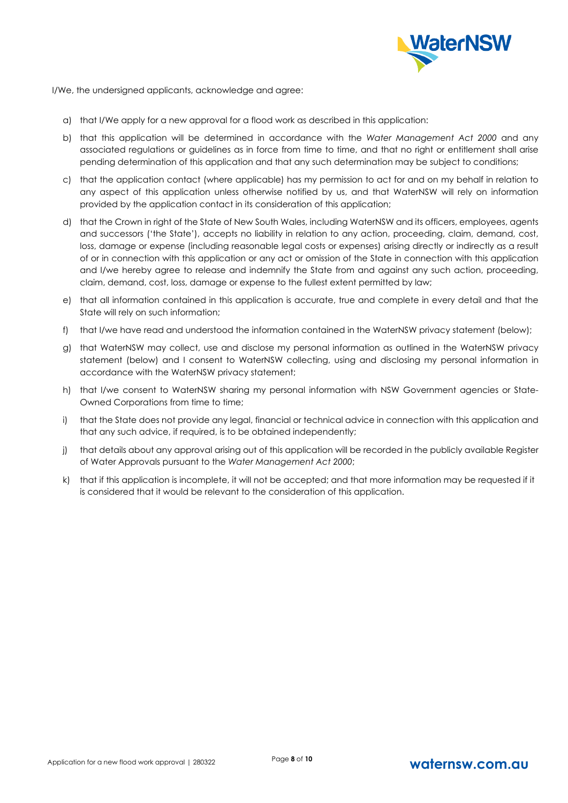

I/We, the undersigned applicants, acknowledge and agree:

- a) that I/We apply for a new approval for a flood work as described in this application:
- b) that this application will be determined in accordance with the *Water Management Act 2000* and any associated regulations or guidelines as in force from time to time, and that no right or entitlement shall arise pending determination of this application and that any such determination may be subject to conditions;
- c) that the application contact (where applicable) has my permission to act for and on my behalf in relation to any aspect of this application unless otherwise notified by us, and that WaterNSW will rely on information provided by the application contact in its consideration of this application;
- d) that the Crown in right of the State of New South Wales, including WaterNSW and its officers, employees, agents and successors ('the State'), accepts no liability in relation to any action, proceeding, claim, demand, cost, loss, damage or expense (including reasonable legal costs or expenses) arising directly or indirectly as a result of or in connection with this application or any act or omission of the State in connection with this application and I/we hereby agree to release and indemnify the State from and against any such action, proceeding, claim, demand, cost, loss, damage or expense to the fullest extent permitted by law;
- e) that all information contained in this application is accurate, true and complete in every detail and that the State will rely on such information;
- f) that I/we have read and understood the information contained in the WaterNSW privacy statement (below);
- g) that WaterNSW may collect, use and disclose my personal information as outlined in the WaterNSW privacy statement (below) and I consent to WaterNSW collecting, using and disclosing my personal information in accordance with the WaterNSW privacy statement;
- h) that I/we consent to WaterNSW sharing my personal information with NSW Government agencies or State-Owned Corporations from time to time;
- i) that the State does not provide any legal, financial or technical advice in connection with this application and that any such advice, if required, is to be obtained independently;
- j) that details about any approval arising out of this application will be recorded in the publicly available Register of Water Approvals pursuant to the *Water Management Act 2000*;
- k) that if this application is incomplete, it will not be accepted; and that more information may be requested if it is considered that it would be relevant to the consideration of this application.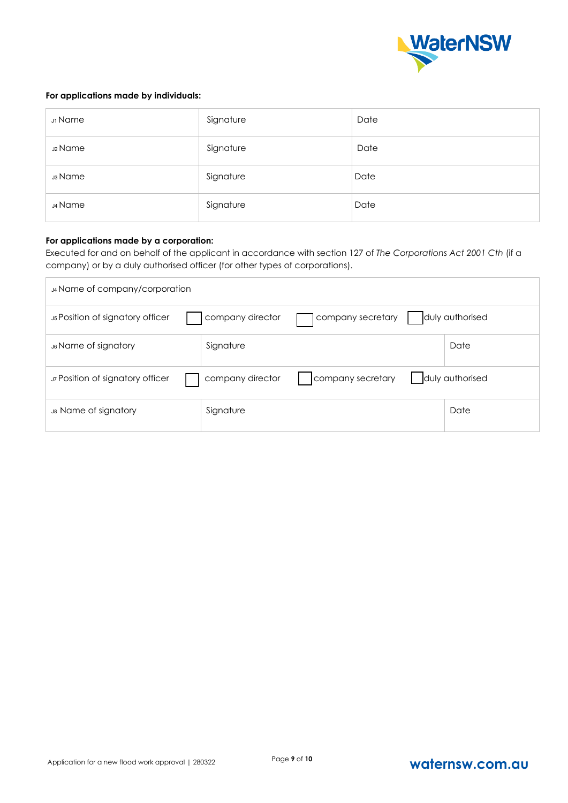

# **For applications made by individuals:**

| J1 Name            | Signature | Date |
|--------------------|-----------|------|
| <b>J2 Name</b>     | Signature | Date |
| <sub>ม3</sub> Name | Signature | Date |
| J4 Name            | Signature | Date |

## **For applications made by a corporation:**

Executed for and on behalf of the applicant in accordance with section 127 of *The Corporations Act 2001 Cth* (if a company) or by a duly authorised officer (for other types of corporations).

| J4 Name of company/corporation                     |                  |                   |                 |
|----------------------------------------------------|------------------|-------------------|-----------------|
| <b>J<sub>5</sub> Position of signatory officer</b> | company director | company secretary | duly authorised |
| J6 Name of signatory                               | Signature        |                   | Date            |
| J7 Position of signatory officer                   | company director | company secretary | duly authorised |
| J8 Name of signatory                               | Signature        |                   | Date            |